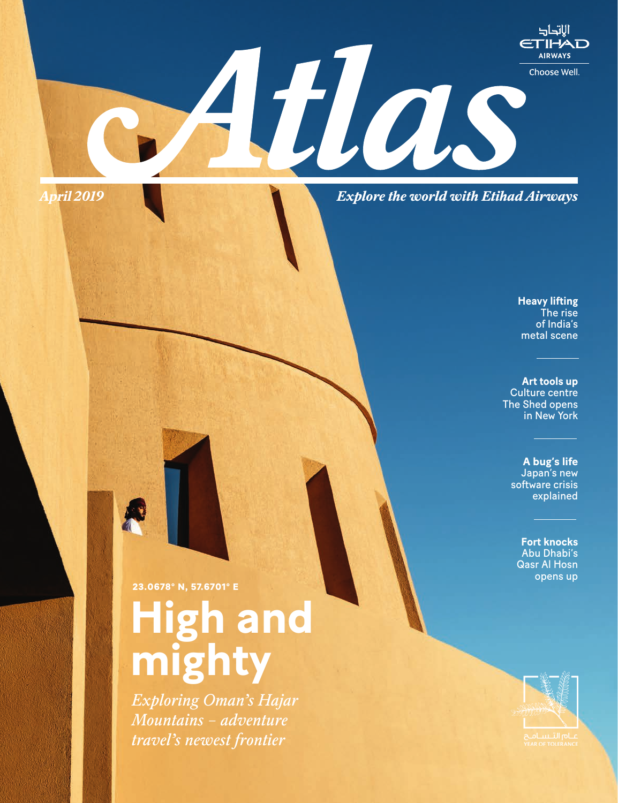*Explore the world with Etihad Airways* 

Mas

**Heavy lifting**  The rise of India's metal scene

الاتحاد ETIHAD **AIRWAYS** 

Choose Well.

**Art tools up**  Culture centre The Shed opens in New York

**A bug's life** Japan's new software crisis explained

**Fort knocks**  Abu Dhabi's Qasr Al Hosn opens up



**April** *2019*

*Exploring Oman's Hajar Mountains – adventure travel's newest frontier*